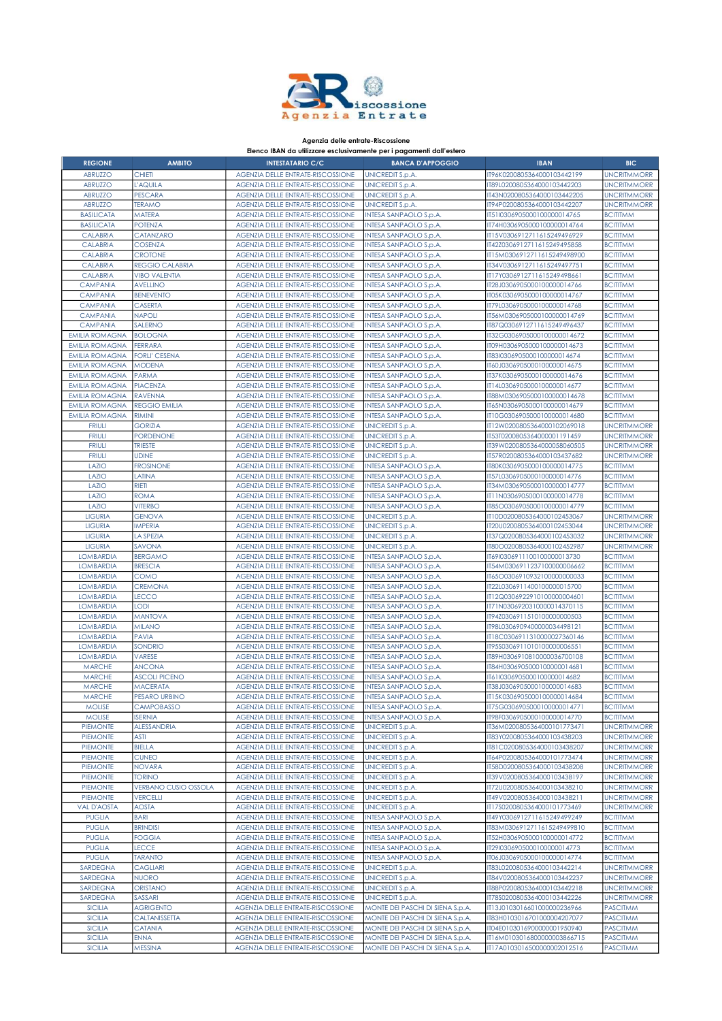

## Agenzia delle entrate-Riscossione

## Elenco IBAN da utilizzare esclusivamente per i pagamenti dall'estero

| <b>REGIONE</b>                       | <b>AMBITO</b>                   | <b>INTESTATARIO C/C</b>                                                       | <b>BANCA D'APPOGGIO</b>                                              | <b>IBAN</b>                                                | <b>BIC</b>                         |
|--------------------------------------|---------------------------------|-------------------------------------------------------------------------------|----------------------------------------------------------------------|------------------------------------------------------------|------------------------------------|
| <b>ABRUZZO</b>                       | CHIETI                          | <b>AGENZIA DELLE ENTRATE-RISCOSSIONE</b>                                      | <b>UNICREDIT S.p.A.</b>                                              | IT96K0200805364000103442199                                | <b>UNCRITMMORR</b>                 |
| <b>ABRUZZO</b>                       | L'AQUILA                        | <b>AGENZIA DELLE ENTRATE-RISCOSSIONE</b>                                      | <b>UNICREDIT S.p.A.</b>                                              | IT89L0200805364000103442203                                | <b>UNCRITMMORR</b>                 |
| <b>ABRUZZO</b>                       | <b>PESCARA</b>                  | <b>AGENZIA DELLE ENTRATE-RISCOSSIONE</b>                                      | <b>UNICREDIT S.p.A.</b>                                              | IT43N0200805364000103442205                                | <b>UNCRITMMORR</b>                 |
| <b>ABRUZZO</b>                       | <b>TERAMO</b>                   | AGENZIA DELLE ENTRATE-RISCOSSIONE                                             | <b>UNICREDIT S.p.A.</b>                                              | IT94P0200805364000103442207                                | <b>UNCRITMMORR</b>                 |
| <b>BASILICATA</b>                    | <b>MATERA</b>                   | AGENZIA DELLE ENTRATE-RISCOSSIONE                                             | INTESA SANPAOLO S.p.A.                                               | IT51I0306905000100000014765                                | <b>BCITITMM</b>                    |
| <b>BASILICATA</b>                    | <b>POTENZA</b>                  | AGENZIA DELLE ENTRATE-RISCOSSIONE                                             | INTESA SANPAOLO S.p.A.                                               | IT74H0306905000100000014764                                | <b>BCITITMM</b>                    |
| <b>CALABRIA</b>                      | CATANZARO                       | <b>AGENZIA DELLE ENTRATE-RISCOSSIONE</b>                                      | INTESA SANPAOLO S.p.A.                                               | IT15V0306912711615249496929                                | <b>BCITITMM</b>                    |
| <b>CALABRIA</b>                      | <b>COSENZA</b>                  | <b>AGENZIA DELLE ENTRATE-RISCOSSIONE</b>                                      | INTESA SANPAOLO S.p.A.                                               | IT42Z0306912711615249495858                                | <b>BCITITMM</b>                    |
| <b>CALABRIA</b>                      | <b>CROTONE</b>                  | <b>AGENZIA DELLE ENTRATE-RISCOSSIONE</b>                                      | INTESA SANPAOLO S.p.A.                                               | IT15M0306912711615249498900                                | <b>BCITITMM</b>                    |
| <b>CALABRIA</b>                      | <b>REGGIO CALABRIA</b>          | AGENZIA DELLE ENTRATE-RISCOSSIONE                                             | INTESA SANPAOLO S.p.A.                                               | IT34V0306912711615249497751                                | <b>BCITITMM</b>                    |
| <b>CALABRIA</b>                      | <b>VIBO VALENTIA</b>            | <b>AGENZIA DELLE ENTRATE-RISCOSSIONE</b>                                      | INTESA SANPAOLO S.p.A.                                               | IT17Y0306912711615249498661                                | <b>BCITITMM</b>                    |
| <b>CAMPANIA</b>                      | <b>AVELLINO</b>                 | AGENZIA DELLE ENTRATE-RISCOSSIONE                                             | INTESA SANPAOLO S.p.A.                                               | IT28J0306905000100000014766                                | <b>BCITITMM</b>                    |
| <b>CAMPANIA</b>                      | <b>BENEVENTO</b>                | AGENZIA DELLE ENTRATE-RISCOSSIONE                                             | INTESA SANPAOLO S.p.A.                                               | IT05K0306905000100000014767                                | <b>BCITITMM</b>                    |
| <b>CAMPANIA</b>                      | CASERTA                         | AGENZIA DELLE ENTRATE-RISCOSSIONE                                             | INTESA SANPAOLO S.p.A.                                               | IT79L0306905000100000014768                                | <b>BCITITMM</b>                    |
| <b>CAMPANIA</b>                      | <b>NAPOLI</b>                   | AGENZIA DELLE ENTRATE-RISCOSSIONE                                             | INTESA SANPAOLO S.p.A.                                               | IT56M0306905000100000014769                                | <b>BCITITMM</b>                    |
| <b>CAMPANIA</b>                      | SALERNO                         | <b>AGENZIA DELLE ENTRATE-RISCOSSIONE</b>                                      | INTESA SANPAOLO S.p.A.                                               | IT87Q0306912711615249496437                                | <b>BCITITMM</b>                    |
| <b>EMILIA ROMAGNA</b>                | <b>BOLOGNA</b>                  | AGENZIA DELLE ENTRATE-RISCOSSIONE                                             | INTESA SANPAOLO S.p.A.                                               | IT32G0306905000100000014672                                | <b>BCITITMM</b>                    |
| <b>EMILIA ROMAGNA</b>                | <b>FERRARA</b>                  | <b>AGENZIA DELLE ENTRATE-RISCOSSIONE</b>                                      | INTESA SANPAOLO S.p.A.                                               | IT09H0306905000100000014673                                | <b>BCITITMM</b>                    |
| <b>EMILIA ROMAGNA</b>                | <b>FORLI' CESENA</b>            | AGENZIA DELLE ENTRATE-RISCOSSIONE                                             | INTESA SANPAOLO S.p.A.                                               | IT83I0306905000100000014674                                | <b>BCITITMM</b>                    |
| <b>EMILIA ROMAGNA</b>                | MODENA                          | <b>AGENZIA DELLE ENTRATE-RISCOSSIONE</b>                                      | INTESA SANPAOLO S.p.A.                                               | IT60J0306905000100000014675                                | <b>BCITITMM</b>                    |
| <b>EMILIA ROMAGNA</b>                | <b>PARMA</b>                    | AGENZIA DELLE ENTRATE-RISCOSSIONE                                             | INTESA SANPAOLO S.p.A.                                               | IT37K0306905000100000014676                                | <b>BCITITMM</b>                    |
| <b>EMILIA ROMAGNA</b>                | <b>PIACENZA</b>                 | <b>AGENZIA DELLE ENTRATE-RISCOSSIONE</b>                                      | INTESA SANPAOLO S.p.A.                                               | IT14L0306905000100000014677                                | <b>BCITITMM</b>                    |
| <b>EMILIA ROMAGNA</b>                | <b>RAVENNA</b>                  | <b>AGENZIA DELLE ENTRATE-RISCOSSIONE</b>                                      | INTESA SANPAOLO S.p.A.                                               | IT88M0306905000100000014678                                | <b>BCITITMM</b>                    |
| <b>EMILIA ROMAGNA</b>                | <b>REGGIO EMILIA</b>            | <b>AGENZIA DELLE ENTRATE-RISCOSSIONE</b>                                      | INTESA SANPAOLO S.p.A.                                               | IT65N0306905000100000014679                                | <b>BCITITMM</b>                    |
| <b>EMILIA ROMAGNA</b>                | <b>RIMINI</b>                   | AGENZIA DELLE ENTRATE-RISCOSSIONE                                             | INTESA SANPAOLO S.p.A.                                               | IT10G0306905000100000014680                                | <b>BCITITMM</b>                    |
| <b>FRIULI</b>                        | <b>GORIZIA</b>                  | <b>AGENZIA DELLE ENTRATE-RISCOSSIONE</b>                                      | UNICREDIT S.p.A.                                                     | IT12W0200805364000102069018                                | <b>UNCRITMMORR</b>                 |
| <b>FRIULI</b>                        | <b>PORDENONE</b>                | <b>AGENZIA DELLE ENTRATE-RISCOSSIONE</b>                                      | <b>UNICREDIT S.p.A.</b>                                              | IT53T0200805364000001191459                                | <b>UNCRITMMORR</b>                 |
| <b>FRIULI</b>                        | <b>TRIESTE</b>                  | <b>AGENZIA DELLE ENTRATE-RISCOSSIONE</b>                                      | <b>UNICREDIT S.p.A.</b>                                              | IT39W0200805364000058060505                                | <b>UNCRITMMORR</b>                 |
| <b>FRIULI</b>                        | <b>UDINE</b>                    | AGENZIA DELLE ENTRATE-RISCOSSIONE                                             | <b>UNICREDIT S.p.A.</b>                                              | IT57R0200805364000103437682                                | <b>UNCRITMMORR</b>                 |
| LAZIO                                | <b>FROSINONE</b>                | <b>AGENZIA DELLE ENTRATE-RISCOSSIONE</b>                                      | INTESA SANPAOLO S.p.A.                                               | IT80K0306905000100000014775                                | <b>BCITITMM</b>                    |
| LAZIO                                | LATINA                          | AGENZIA DELLE ENTRATE-RISCOSSIONE                                             | INTESA SANPAOLO S.p.A.                                               | IT57L0306905000100000014776                                | <b>BCITITMM</b>                    |
| LAZIO                                | <b>RIETI</b>                    | <b>AGENZIA DELLE ENTRATE-RISCOSSIONE</b>                                      | INTESA SANPAOLO S.p.A.                                               | IT34M0306905000100000014777                                | <b>BCITITMM</b>                    |
| LAZIO                                | <b>ROMA</b>                     | <b>AGENZIA DELLE ENTRATE-RISCOSSIONE</b>                                      | INTESA SANPAOLO S.p.A.                                               | IT11N0306905000100000014778                                | <b>BCITITMM</b>                    |
| LAZIO                                | <b>VITERBO</b>                  | AGENZIA DELLE ENTRATE-RISCOSSIONE                                             | INTESA SANPAOLO S.p.A.                                               | IT85O0306905000100000014779                                | <b>BCITITMM</b>                    |
| <b>LIGURIA</b>                       | GENOVA                          | <b>AGENZIA DELLE ENTRATE-RISCOSSIONE</b>                                      | <b>UNICREDIT S.p.A.</b>                                              | IT10D0200805364000102453067                                | <b>UNCRITMMORR</b>                 |
| <b>LIGURIA</b>                       | <b>IMPERIA</b>                  | <b>AGENZIA DELLE ENTRATE-RISCOSSIONE</b>                                      | <b>UNICREDIT S.p.A.</b>                                              | IT20U0200805364000102453044                                | <b>UNCRITMMORR</b>                 |
| <b>LIGURIA</b>                       | LA SPEZIA                       | <b>AGENZIA DELLE ENTRATE-RISCOSSIONE</b>                                      | <b>UNICREDIT S.p.A.</b>                                              | IT37Q0200805364000102453032                                | <b>UNCRITMMORR</b>                 |
| <b>LIGURIA</b>                       | SAVONA                          | AGENZIA DELLE ENTRATE-RISCOSSIONE                                             | <b>UNICREDIT S.p.A.</b>                                              | IT80O0200805364000102452987                                | <b>UNCRITMMORR</b>                 |
| <b>LOMBARDIA</b>                     | <b>BERGAMO</b>                  | <b>AGENZIA DELLE ENTRATE-RISCOSSIONE</b>                                      | INTESA SANPAOLO S.p.A.                                               | IT69I0306911100100000013730                                | <b>BCITITMM</b>                    |
| <b>LOMBARDIA</b>                     | <b>BRESCIA</b>                  | AGENZIA DELLE ENTRATE-RISCOSSIONE                                             | INTESA SANPAOLO S.p.A.                                               | IT54M0306911237100000006662                                | <b>BCITITMM</b>                    |
| <b>LOMBARDIA</b>                     | COMO                            | <b>AGENZIA DELLE ENTRATE-RISCOSSIONE</b>                                      | INTESA SANPAOLO S.p.A.                                               | IT65O0306910932100000000033                                | <b>BCITITMM</b>                    |
| <b>LOMBARDIA</b>                     | <b>CREMONA</b><br>LECCO         | <b>AGENZIA DELLE ENTRATE-RISCOSSIONE</b>                                      | INTESA SANPAOLO S.p.A.                                               | IT22L0306911400100000015700<br>IT12Q0306922910100000004601 | <b>BCITITMM</b>                    |
| <b>LOMBARDIA</b><br><b>LOMBARDIA</b> | LODI                            | <b>AGENZIA DELLE ENTRATE-RISCOSSIONE</b><br>AGENZIA DELLE ENTRATE-RISCOSSIONE | INTESA SANPAOLO S.p.A.<br>INTESA SANPAOLO S.p.A.                     | IT71N0306920310000014370115                                | <b>BCITITMM</b><br><b>BCITITMM</b> |
| <b>LOMBARDIA</b>                     | MANTOVA                         | <b>AGENZIA DELLE ENTRATE-RISCOSSIONE</b>                                      | INTESA SANPAOLO S.p.A.                                               | IT94Z0306911510100000000503                                | <b>BCITITMM</b>                    |
| <b>LOMBARDIA</b>                     | <b>MILANO</b>                   | <b>AGENZIA DELLE ENTRATE-RISCOSSIONE</b>                                      | INTESA SANPAOLO S.p.A.                                               | IT98L0306909400000034498121                                | <b>BCITITMM</b>                    |
| <b>LOMBARDIA</b>                     | <b>PAVIA</b>                    | <b>AGENZIA DELLE ENTRATE-RISCOSSIONE</b>                                      | INTESA SANPAOLO S.p.A.                                               | IT18C0306911310000027360146                                | <b>BCITITMM</b>                    |
| <b>LOMBARDIA</b>                     | SONDRIO                         | <b>AGENZIA DELLE ENTRATE-RISCOSSIONE</b>                                      | INTESA SANPAOLO S.p.A.                                               | IT95S0306911010100000006551                                | <b>BCITITMM</b>                    |
| <b>LOMBARDIA</b>                     | <b>VARESE</b>                   | <b>AGENZIA DELLE ENTRATE-RISCOSSIONE</b>                                      | INTESA SANPAOLO S.p.A.                                               | IT89H0306910810000036700108                                | <b>BCITITMM</b>                    |
| <b>MARCHE</b>                        | <b>ANCONA</b>                   | <b>AGENZIA DELLE ENTRATE-RISCOSSIONE</b>                                      | INTESA SANPAOLO S.p.A.                                               | IT84H0306905000100000014681                                | <b>BCITITMM</b>                    |
| <b>MARCHE</b>                        | <b>ASCOLI PICENO</b>            | <b>AGENZIA DELLE ENTRATE-RISCOSSIONE</b>                                      | INTESA SANPAOLO S.p.A.                                               | IT61I0306905000100000014682                                | <b>BCITITMM</b>                    |
| <b>MARCHE</b>                        | <b>MACERATA</b>                 | AGENZIA DELLE ENTRATE-RISCOSSIONE                                             | INTESA SANPAOLO S.p.A.                                               | IT38J0306905000100000014683                                | <b>BCITITMM</b>                    |
| <b>MARCHE</b>                        | <b>PESARO URBINO</b>            | <b>AGENZIA DELLE ENTRATE-RISCOSSIONE</b>                                      | INTESA SANPAOLO S.p.A.                                               | IT15K0306905000100000014684                                | <b>BCITITMM</b>                    |
| <b>MOLISE</b>                        | <b>CAMPOBASSO</b>               | <b>AGENZIA DELLE ENTRATE-RISCOSSIONE</b>                                      | <b>INTESA SANPAOLO S.p.A.</b>                                        | IT75G0306905000100000014771                                | <b>BCITITMM</b>                    |
| <b>MOLISE</b>                        | <b>ISERNIA</b>                  | AGENZIA DELLE ENTRATE-RISCOSSIONE                                             | INTESA SANPAOLO S.p.A.                                               | IT98F0306905000100000014770                                | <b>BCITITMM</b>                    |
| <b>PIEMONTE</b>                      | <b>ALESSANDRIA</b>              | AGENZIA DELLE ENTRATE-RISCOSSIONE                                             | <b>UNICREDIT S.p.A.</b>                                              | IT36M0200805364000101773471                                | <b>UNCRITMMORR</b>                 |
| <b>PIEMONTE</b>                      | ASTI                            | <b>AGENZIA DELLE ENTRATE-RISCOSSIONE</b>                                      | <b>UNICREDIT S.p.A.</b>                                              | IT83Y0200805364000103438203                                | <b>UNCRITMMORR</b>                 |
| <b>PIEMONTE</b>                      | <b>BIELLA</b>                   | AGENZIA DELLE ENTRATE-RISCOSSIONE                                             | <b>UNICREDIT S.p.A.</b>                                              | IT81C0200805364000103438207                                | <b>UNCRITMMORR</b>                 |
| <b>PIEMONTE</b>                      | <b>CUNEO</b>                    | AGENZIA DELLE ENTRATE-RISCOSSIONE                                             | <b>UNICREDIT S.p.A.</b>                                              | IT64P0200805364000101773474                                | <b>UNCRITMMORR</b>                 |
| <b>PIEMONTE</b>                      | <b>NOVARA</b>                   | AGENZIA DELLE ENTRATE-RISCOSSIONE                                             | <b>UNICREDIT S.p.A.</b>                                              | IT58D0200805364000103438208                                | <b>UNCRITMMORR</b>                 |
| <b>PIEMONTE</b>                      | <b>TORINO</b>                   | AGENZIA DELLE ENTRATE-RISCOSSIONE                                             | <b>UNICREDIT S.p.A.</b>                                              | IT39V0200805364000103438197                                | <b>UNCRITMMORR</b>                 |
| <b>PIEMONTE</b>                      | <b>VERBANO CUSIO OSSOLA</b>     | <b>AGENZIA DELLE ENTRATE-RISCOSSIONE</b>                                      | <b>UNICREDIT S.p.A.</b>                                              | IT72U0200805364000103438210                                | <b>UNCRITMMORR</b>                 |
| <b>PIEMONTE</b>                      | <b>VERCELLI</b>                 | AGENZIA DELLE ENTRATE-RISCOSSIONE                                             | <b>UNICREDIT S.p.A.</b>                                              | IT49V0200805364000103438211                                | <b>UNCRITMMORR</b>                 |
| <b>VAL D'AOSTA</b>                   | <b>AOSTA</b>                    | AGENZIA DELLE ENTRATE-RISCOSSIONE                                             | <b>UNICREDIT S.p.A.</b>                                              | IT17S0200805364000101773469                                | <b>UNCRITMMORR</b>                 |
| <b>PUGLIA</b>                        | <b>BARI</b>                     | AGENZIA DELLE ENTRATE-RISCOSSIONE                                             | INTESA SANPAOLO S.p.A.                                               | IT49Y0306912711615249499249                                | <b>BCITITMM</b>                    |
| <b>PUGLIA</b>                        | <b>BRINDISI</b>                 | <b>AGENZIA DELLE ENTRATE-RISCOSSIONE</b>                                      | INTESA SANPAOLO S.p.A.                                               | IT83M0306912711615249499810                                | <b>BCITITMM</b>                    |
| <b>PUGLIA</b>                        | <b>FOGGIA</b>                   | AGENZIA DELLE ENTRATE-RISCOSSIONE                                             | INTESA SANPAOLO S.p.A.                                               | IT52H0306905000100000014772                                | <b>BCITITMM</b>                    |
| <b>PUGLIA</b>                        | LECCE                           | AGENZIA DELLE ENTRATE-RISCOSSIONE                                             | INTESA SANPAOLO S.p.A.                                               | IT29I0306905000100000014773                                | <b>BCITITMM</b>                    |
| <b>PUGLIA</b>                        | <b>TARANTO</b>                  | AGENZIA DELLE ENTRATE-RISCOSSIONE                                             | INTESA SANPAOLO S.p.A.                                               | IT06J0306905000100000014774                                | <b>BCITITMM</b>                    |
| SARDEGNA                             | <b>CAGLIARI</b>                 | AGENZIA DELLE ENTRATE-RISCOSSIONE                                             | <b>UNICREDIT S.p.A.</b>                                              | IT83L0200805364000103442214                                | <b>UNCRITMMORR</b>                 |
| SARDEGNA                             | <b>NUORO</b>                    | AGENZIA DELLE ENTRATE-RISCOSSIONE                                             | UNICREDIT S.p.A.                                                     | IT84V0200805364000103442237                                | <b>UNCRITMMORR</b>                 |
| SARDEGNA                             | <b>ORISTANO</b>                 | AGENZIA DELLE ENTRATE-RISCOSSIONE                                             | <b>UNICREDIT S.p.A.</b>                                              | IT88P0200805364000103442218                                | <b>UNCRITMMORR</b>                 |
| SARDEGNA                             | <b>SASSARI</b>                  | AGENZIA DELLE ENTRATE-RISCOSSIONE                                             | <b>UNICREDIT S.p.A.</b>                                              | IT78S0200805364000103442226                                | <b>UNCRITMMORR</b>                 |
| <b>SICILIA</b>                       | <b>AGRIGENTO</b>                | AGENZIA DELLE ENTRATE-RISCOSSIONE                                             | MONTE DEI PASCHI DI SIENA S.p.A.                                     | IT13J0103016601000000236966                                | <b>PASCITMM</b>                    |
| <b>SICILIA</b><br><b>SICILIA</b>     | CALTANISSETTA<br><b>CATANIA</b> | AGENZIA DELLE ENTRATE-RISCOSSIONE<br>AGENZIA DELLE ENTRATE-RISCOSSIONE        | MONTE DEI PASCHI DI SIENA S.p.A.<br>MONTE DEI PASCHI DI SIENA S.p.A. | IT83H0103016701000004207077<br>IT04E0103016900000001950940 | <b>PASCITMM</b><br><b>PASCITMM</b> |
| <b>SICILIA</b>                       | ENNA                            | AGENZIA DELLE ENTRATE-RISCOSSIONE                                             | MONTE DEI PASCHI DI SIENA S.p.A.                                     | IT16M0103016800000003866715                                | <b>PASCITMM</b>                    |
| <b>SICILIA</b>                       | <b>MESSINA</b>                  | AGENZIA DELLE ENTRATE-RISCOSSIONE                                             | MONTE DEI PASCHI DI SIENA S.p.A.                                     | IT17A0103016500000002012516                                | <b>PASCITMM</b>                    |
|                                      |                                 |                                                                               |                                                                      |                                                            |                                    |